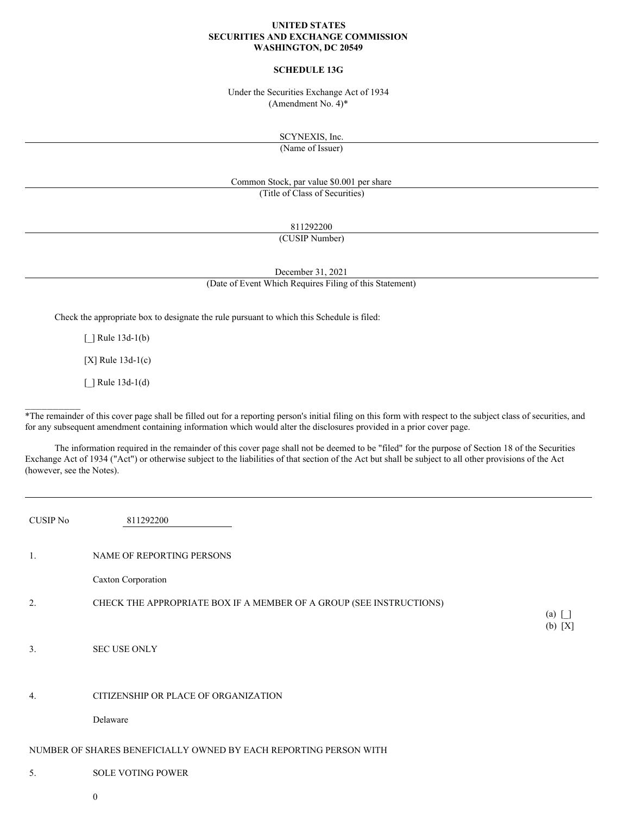## **UNITED STATES SECURITIES AND EXCHANGE COMMISSION WASHINGTON, DC 20549**

## **SCHEDULE 13G**

Under the Securities Exchange Act of 1934 (Amendment No. 4)\*

SCYNEXIS, Inc.

(Name of Issuer)

Common Stock, par value \$0.001 per share (Title of Class of Securities)

811292200

(CUSIP Number)

December 31, 2021

(Date of Event Which Requires Filing of this Statement)

Check the appropriate box to designate the rule pursuant to which this Schedule is filed:

[*\_*] Rule 13d-1(b)

[X] Rule 13d-1(c)

[\_] Rule 13d-1(d)

 $\frac{1}{2}$  ,  $\frac{1}{2}$  ,  $\frac{1}{2}$  ,  $\frac{1}{2}$  ,  $\frac{1}{2}$  ,  $\frac{1}{2}$ 

\*The remainder of this cover page shall be filled out for a reporting person's initial filing on this form with respect to the subject class of securities, and for any subsequent amendment containing information which would alter the disclosures provided in a prior cover page.

The information required in the remainder of this cover page shall not be deemed to be "filed" for the purpose of Section 18 of the Securities Exchange Act of 1934 ("Act") or otherwise subject to the liabilities of that section of the Act but shall be subject to all other provisions of the Act (however, see the Notes).

| <b>CUSIP No</b> | 811292200                                                           |                         |
|-----------------|---------------------------------------------------------------------|-------------------------|
| 1.              | NAME OF REPORTING PERSONS                                           |                         |
|                 | Caxton Corporation                                                  |                         |
| 2.              | CHECK THE APPROPRIATE BOX IF A MEMBER OF A GROUP (SEE INSTRUCTIONS) | $(a)$ $\Box$<br>(b) [X] |
| 3.              | <b>SEC USE ONLY</b>                                                 |                         |
| 4.              | CITIZENSHIP OR PLACE OF ORGANIZATION                                |                         |
|                 | Delaware                                                            |                         |
|                 | NUMBER OF SHARES BENEFICIALLY OWNED BY EACH REPORTING PERSON WITH   |                         |
| 5.              | <b>SOLE VOTING POWER</b>                                            |                         |

0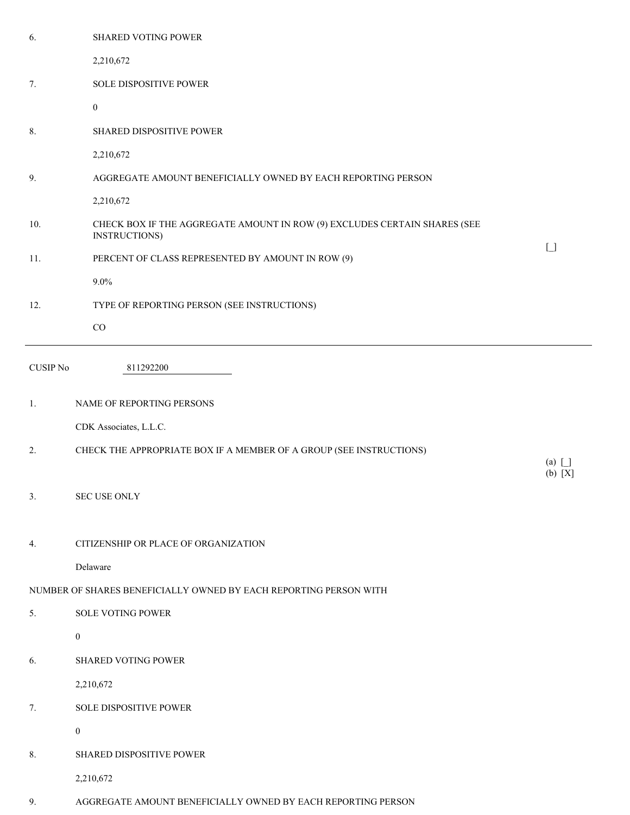| 6.              | SHARED VOTING POWER                                                                        |                                        |
|-----------------|--------------------------------------------------------------------------------------------|----------------------------------------|
|                 | 2,210,672                                                                                  |                                        |
| 7.              | SOLE DISPOSITIVE POWER                                                                     |                                        |
|                 | $\mathbf{0}$                                                                               |                                        |
| 8.              | SHARED DISPOSITIVE POWER                                                                   |                                        |
|                 | 2,210,672                                                                                  |                                        |
| 9.              | AGGREGATE AMOUNT BENEFICIALLY OWNED BY EACH REPORTING PERSON                               |                                        |
|                 | 2,210,672                                                                                  |                                        |
| 10.             | CHECK BOX IF THE AGGREGATE AMOUNT IN ROW (9) EXCLUDES CERTAIN SHARES (SEE<br>INSTRUCTIONS) | $\begin{bmatrix} 1 \\ 1 \end{bmatrix}$ |
| 11.             | PERCENT OF CLASS REPRESENTED BY AMOUNT IN ROW (9)                                          |                                        |
|                 | $9.0\%$                                                                                    |                                        |
| 12.             | TYPE OF REPORTING PERSON (SEE INSTRUCTIONS)                                                |                                        |
|                 | $_{\rm CO}$                                                                                |                                        |
| <b>CUSIP No</b> | 811292200                                                                                  |                                        |
| 1.              | NAME OF REPORTING PERSONS                                                                  |                                        |
|                 | CDK Associates, L.L.C.                                                                     |                                        |
|                 |                                                                                            |                                        |
| 2.              | CHECK THE APPROPRIATE BOX IF A MEMBER OF A GROUP (SEE INSTRUCTIONS)                        | $(a)$ [ ]                              |
| 3.              | SEC USE ONLY                                                                               | $(b)$ [X]                              |
| 4.              | CITIZENSHIP OR PLACE OF ORGANIZATION                                                       |                                        |
|                 | Delaware                                                                                   |                                        |
|                 | NUMBER OF SHARES BENEFICIALLY OWNED BY EACH REPORTING PERSON WITH                          |                                        |
| 5.              | <b>SOLE VOTING POWER</b>                                                                   |                                        |
|                 | $\boldsymbol{0}$                                                                           |                                        |
| 6.              | SHARED VOTING POWER                                                                        |                                        |
|                 | 2,210,672                                                                                  |                                        |
| 7.              | SOLE DISPOSITIVE POWER                                                                     |                                        |
|                 | $\boldsymbol{0}$                                                                           |                                        |
| 8.              | SHARED DISPOSITIVE POWER                                                                   |                                        |
|                 | 2,210,672                                                                                  |                                        |

9. AGGREGATE AMOUNT BENEFICIALLY OWNED BY EACH REPORTING PERSON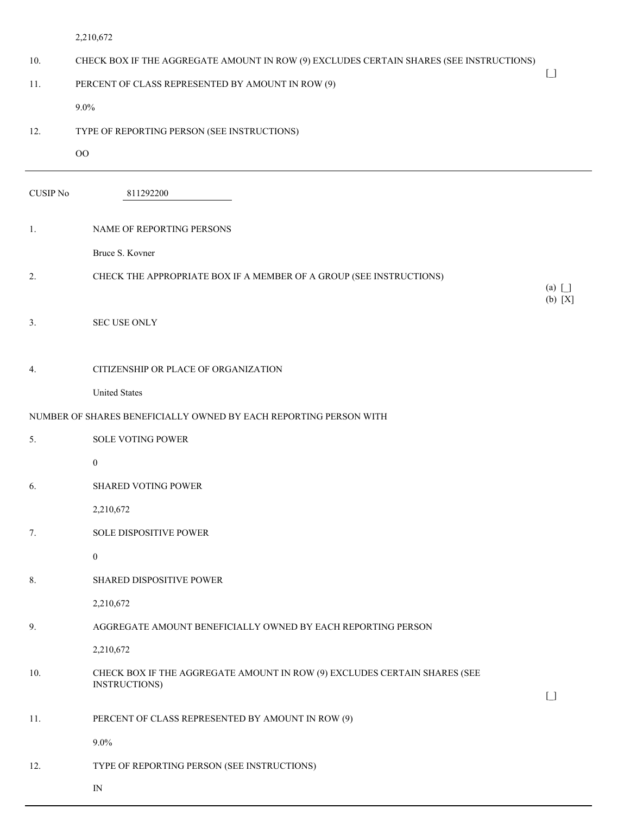| 2.210.67 |
|----------|
|          |

| 10.             | CHECK BOX IF THE AGGREGATE AMOUNT IN ROW (9) EXCLUDES CERTAIN SHARES (SEE INSTRUCTIONS)    |                                        |
|-----------------|--------------------------------------------------------------------------------------------|----------------------------------------|
| 11.             | PERCENT OF CLASS REPRESENTED BY AMOUNT IN ROW (9)                                          | $\begin{bmatrix} 1 \\ 1 \end{bmatrix}$ |
|                 | $9.0\%$                                                                                    |                                        |
| 12.             | TYPE OF REPORTING PERSON (SEE INSTRUCTIONS)                                                |                                        |
|                 | OO                                                                                         |                                        |
| <b>CUSIP No</b> | 811292200                                                                                  |                                        |
| 1.              | NAME OF REPORTING PERSONS                                                                  |                                        |
|                 | Bruce S. Kovner                                                                            |                                        |
| 2.              | CHECK THE APPROPRIATE BOX IF A MEMBER OF A GROUP (SEE INSTRUCTIONS)                        | $(a)$ $\Box$<br>$(b) [X]$              |
| 3.              | <b>SEC USE ONLY</b>                                                                        |                                        |
| 4.              | CITIZENSHIP OR PLACE OF ORGANIZATION                                                       |                                        |
|                 | <b>United States</b>                                                                       |                                        |
|                 | NUMBER OF SHARES BENEFICIALLY OWNED BY EACH REPORTING PERSON WITH                          |                                        |
| 5.              | <b>SOLE VOTING POWER</b>                                                                   |                                        |
|                 | $\boldsymbol{0}$                                                                           |                                        |
| 6.              | <b>SHARED VOTING POWER</b>                                                                 |                                        |
|                 | 2,210,672                                                                                  |                                        |
| 7.              | SOLE DISPOSITIVE POWER                                                                     |                                        |
|                 | $\boldsymbol{0}$                                                                           |                                        |
| 8.              | SHARED DISPOSITIVE POWER                                                                   |                                        |
|                 | 2,210,672                                                                                  |                                        |
| 9.              | AGGREGATE AMOUNT BENEFICIALLY OWNED BY EACH REPORTING PERSON                               |                                        |
|                 | 2,210,672                                                                                  |                                        |
| 10.             | CHECK BOX IF THE AGGREGATE AMOUNT IN ROW (9) EXCLUDES CERTAIN SHARES (SEE<br>INSTRUCTIONS) | $\begin{array}{c} \square \end{array}$ |
| 11.             | PERCENT OF CLASS REPRESENTED BY AMOUNT IN ROW (9)                                          |                                        |
|                 | $9.0\%$                                                                                    |                                        |
| 12.             | TYPE OF REPORTING PERSON (SEE INSTRUCTIONS)                                                |                                        |
|                 | $\ensuremath{\text{IN}}$                                                                   |                                        |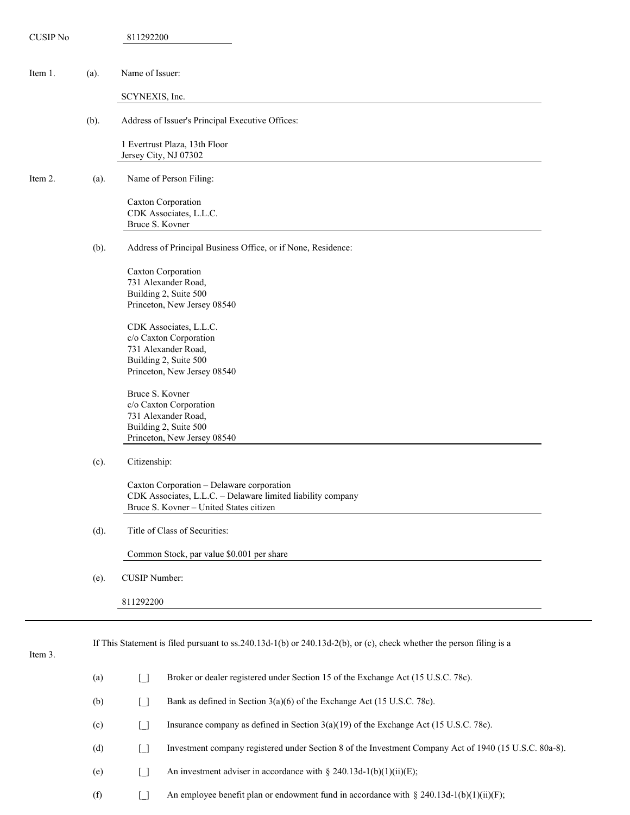| <b>CUSIP No</b> |      | 811292200                                                                                                                                           |
|-----------------|------|-----------------------------------------------------------------------------------------------------------------------------------------------------|
| Item 1.         | (a). | Name of Issuer:                                                                                                                                     |
|                 |      | SCYNEXIS, Inc.                                                                                                                                      |
|                 | (b). | Address of Issuer's Principal Executive Offices:                                                                                                    |
|                 |      | 1 Evertrust Plaza, 13th Floor<br>Jersey City, NJ 07302                                                                                              |
| Item 2.         | (a). | Name of Person Filing:                                                                                                                              |
|                 |      | Caxton Corporation<br>CDK Associates, L.L.C.<br>Bruce S. Kovner                                                                                     |
|                 | (b). | Address of Principal Business Office, or if None, Residence:                                                                                        |
|                 |      | Caxton Corporation<br>731 Alexander Road,<br>Building 2, Suite 500<br>Princeton, New Jersey 08540                                                   |
|                 |      | CDK Associates, L.L.C.<br>c/o Caxton Corporation<br>731 Alexander Road,<br>Building 2, Suite 500<br>Princeton, New Jersey 08540                     |
|                 |      | Bruce S. Kovner<br>c/o Caxton Corporation<br>731 Alexander Road,<br>Building 2, Suite 500<br>Princeton, New Jersey 08540                            |
|                 | (c). | Citizenship:                                                                                                                                        |
|                 |      | Caxton Corporation - Delaware corporation<br>CDK Associates, L.L.C. - Delaware limited liability company<br>Bruce S. Kovner - United States citizen |
|                 | (d). | Title of Class of Securities:                                                                                                                       |
|                 |      | Common Stock, par value \$0.001 per share                                                                                                           |
|                 | (e). | CUSIP Number:                                                                                                                                       |
|                 |      | 811292200                                                                                                                                           |
|                 |      |                                                                                                                                                     |
| Item 3.         |      | If This Statement is filed pursuant to ss.240.13d-1(b) or 240.13d-2(b), or (c), check whether the person filing is a                                |
|                 | (a)  | Broker or dealer registered under Section 15 of the Exchange Act (15 U.S.C. 78c).<br>$\begin{bmatrix} 1 \\ 1 \end{bmatrix}$                         |
|                 | (b)  | Bank as defined in Section 3(a)(6) of the Exchange Act (15 U.S.C. 78c).<br>$\Box$                                                                   |
|                 | (c)  | Insurance company as defined in Section $3(a)(19)$ of the Exchange Act (15 U.S.C. 78c).<br>$\begin{array}{c} \square \end{array}$                   |
|                 | (d)  | Investment company registered under Section 8 of the Investment Company Act of 1940 (15 U.S.C. 80a-8).<br>$\Box$                                    |
|                 | (e)  | An investment adviser in accordance with § 240.13d-1(b)(1)(ii)(E);<br>$\begin{bmatrix} 1 \\ 1 \end{bmatrix}$                                        |
|                 | (f)  | An employee benefit plan or endowment fund in accordance with § 240.13d-1(b)(1)(ii)(F);<br>$\begin{bmatrix} 1 \\ 1 \end{bmatrix}$                   |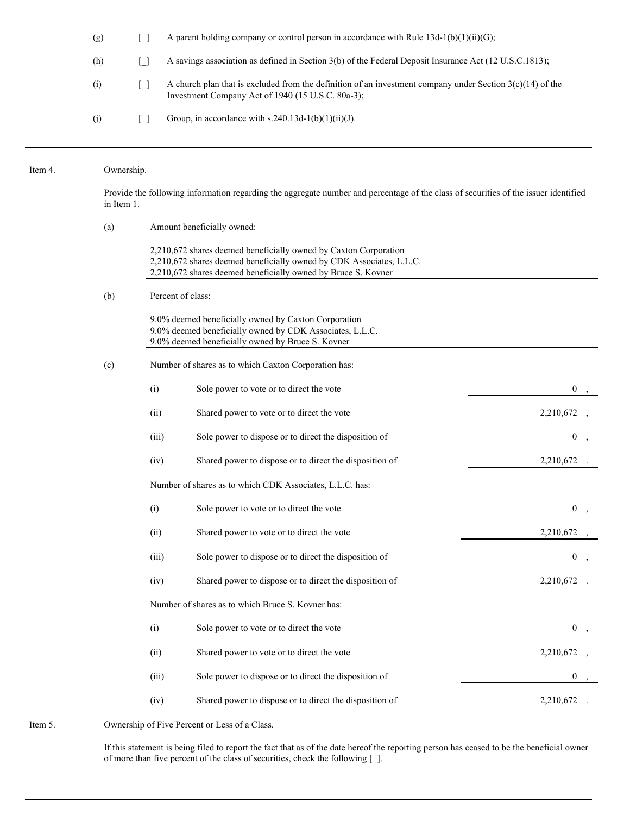(g)  $\Box$  A parent holding company or control person in accordance with Rule 13d-1(b)(1)(ii)(G); (h) [\_] A savings association as defined in Section 3(b) of the Federal Deposit Insurance Act (12 U.S.C.1813); (i)  $\Box$  A church plan that is excluded from the definition of an investment company under Section 3(c)(14) of the Investment Company Act of 1940 (15 U.S.C. 80a-3); (j)  $\Box$  Group, in accordance with s.240.13d-1(b)(1)(ii)(J).

| Item 4. | Ownership.                                                                                                                                        |       |                                                                                                                                                                                                           |                  |  |
|---------|---------------------------------------------------------------------------------------------------------------------------------------------------|-------|-----------------------------------------------------------------------------------------------------------------------------------------------------------------------------------------------------------|------------------|--|
|         | Provide the following information regarding the aggregate number and percentage of the class of securities of the issuer identified<br>in Item 1. |       |                                                                                                                                                                                                           |                  |  |
|         | (a)                                                                                                                                               |       | Amount beneficially owned:                                                                                                                                                                                |                  |  |
|         |                                                                                                                                                   |       | 2,210,672 shares deemed beneficially owned by Caxton Corporation<br>2,210,672 shares deemed beneficially owned by CDK Associates, L.L.C.<br>2,210,672 shares deemed beneficially owned by Bruce S. Kovner |                  |  |
|         | (b)                                                                                                                                               |       | Percent of class:                                                                                                                                                                                         |                  |  |
|         |                                                                                                                                                   |       | 9.0% deemed beneficially owned by Caxton Corporation<br>9.0% deemed beneficially owned by CDK Associates, L.L.C.<br>9.0% deemed beneficially owned by Bruce S. Kovner                                     |                  |  |
|         | (c)                                                                                                                                               |       | Number of shares as to which Caxton Corporation has:                                                                                                                                                      |                  |  |
|         |                                                                                                                                                   | (i)   | Sole power to vote or to direct the vote                                                                                                                                                                  | $\mathbf{0}$     |  |
|         |                                                                                                                                                   | (ii)  | Shared power to vote or to direct the vote                                                                                                                                                                | 2,210,672        |  |
|         |                                                                                                                                                   | (iii) | Sole power to dispose or to direct the disposition of                                                                                                                                                     | $\boldsymbol{0}$ |  |
|         |                                                                                                                                                   | (iv)  | Shared power to dispose or to direct the disposition of                                                                                                                                                   | 2,210,672        |  |
|         |                                                                                                                                                   |       | Number of shares as to which CDK Associates, L.L.C. has:                                                                                                                                                  |                  |  |
|         |                                                                                                                                                   | (i)   | Sole power to vote or to direct the vote                                                                                                                                                                  | $\mathbf{0}$     |  |
|         |                                                                                                                                                   | (ii)  | Shared power to vote or to direct the vote                                                                                                                                                                | 2,210,672        |  |
|         |                                                                                                                                                   | (iii) | Sole power to dispose or to direct the disposition of                                                                                                                                                     | $\bf{0}$         |  |
|         |                                                                                                                                                   | (iv)  | Shared power to dispose or to direct the disposition of                                                                                                                                                   | 2,210,672        |  |
|         |                                                                                                                                                   |       | Number of shares as to which Bruce S. Kovner has:                                                                                                                                                         |                  |  |
|         |                                                                                                                                                   | (i)   | Sole power to vote or to direct the vote                                                                                                                                                                  | $\mathbf{0}$     |  |
|         |                                                                                                                                                   | (ii)  | Shared power to vote or to direct the vote                                                                                                                                                                | 2,210,672        |  |
|         |                                                                                                                                                   | (iii) | Sole power to dispose or to direct the disposition of                                                                                                                                                     | $\mathbf{0}$     |  |
|         |                                                                                                                                                   | (iv)  | Shared power to dispose or to direct the disposition of                                                                                                                                                   | 2,210,672        |  |
| Item 5. |                                                                                                                                                   |       | Ownership of Five Percent or Less of a Class.                                                                                                                                                             |                  |  |

If this statement is being filed to report the fact that as of the date hereof the reporting person has ceased to be the beneficial owner of more than five percent of the class of securities, check the following [\_].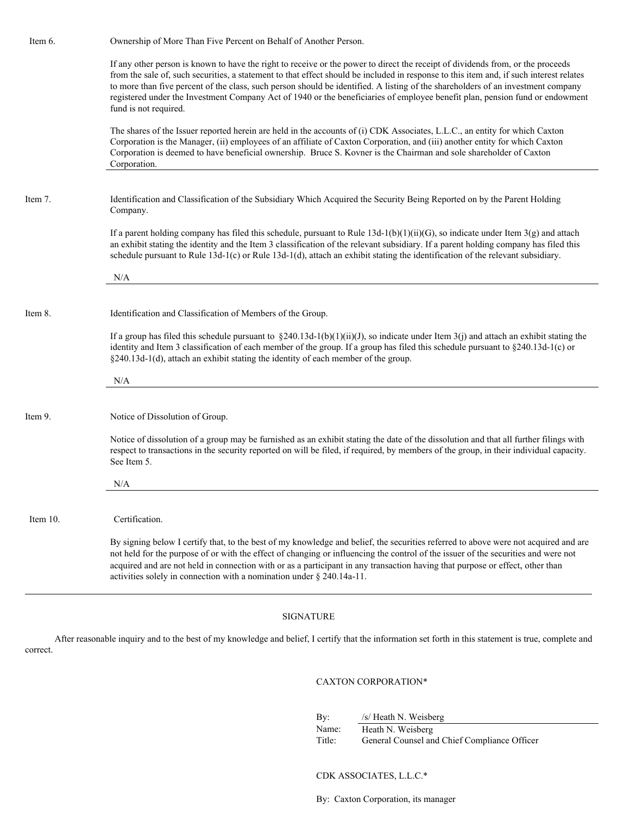Item 6. Ownership of More Than Five Percent on Behalf of Another Person. If any other person is known to have the right to receive or the power to direct the receipt of dividends from, or the proceeds from the sale of, such securities, a statement to that effect should be included in response to this item and, if such interest relates to more than five percent of the class, such person should be identified. A listing of the shareholders of an investment company registered under the Investment Company Act of 1940 or the beneficiaries of employee benefit plan, pension fund or endowment fund is not required. The shares of the Issuer reported herein are held in the accounts of (i) CDK Associates, L.L.C., an entity for which Caxton Corporation is the Manager, (ii) employees of an affiliate of Caxton Corporation, and (iii) another entity for which Caxton Corporation is deemed to have beneficial ownership. Bruce S. Kovner is the Chairman and sole shareholder of Caxton Corporation. Item 7. Identification and Classification of the Subsidiary Which Acquired the Security Being Reported on by the Parent Holding Company. If a parent holding company has filed this schedule, pursuant to Rule  $13d-1(b)(1)(ii)(G)$ , so indicate under Item 3(g) and attach an exhibit stating the identity and the Item 3 classification of the relevant subsidiary. If a parent holding company has filed this schedule pursuant to Rule 13d-1(c) or Rule 13d-1(d), attach an exhibit stating the identification of the relevant subsidiary. N/A Item 8. Identification and Classification of Members of the Group. If a group has filed this schedule pursuant to  $\S 240.13d-1(b)(1)(ii)(J)$ , so indicate under Item 3(j) and attach an exhibit stating the identity and Item 3 classification of each member of the group. If a group has filed this schedule pursuant to §240.13d-1(c) or §240.13d-1(d), attach an exhibit stating the identity of each member of the group. N/A Item 9. Notice of Dissolution of Group. Notice of dissolution of a group may be furnished as an exhibit stating the date of the dissolution and that all further filings with respect to transactions in the security reported on will be filed, if required, by members of the group, in their individual capacity. See Item 5. N/A Item 10. Certification. By signing below I certify that, to the best of my knowledge and belief, the securities referred to above were not acquired and are not held for the purpose of or with the effect of changing or influencing the control of the issuer of the securities and were not acquired and are not held in connection with or as a participant in any transaction having that purpose or effect, other than activities solely in connection with a nomination under § 240.14a-11.

#### SIGNATURE

After reasonable inquiry and to the best of my knowledge and belief, I certify that the information set forth in this statement is true, complete and correct.

#### CAXTON CORPORATION\*

By: /s/ Heath N. Weisberg Name: Heath N. Weisberg

Title: General Counsel and Chief Compliance Officer

#### CDK ASSOCIATES, L.L.C.\*

By: Caxton Corporation, its manager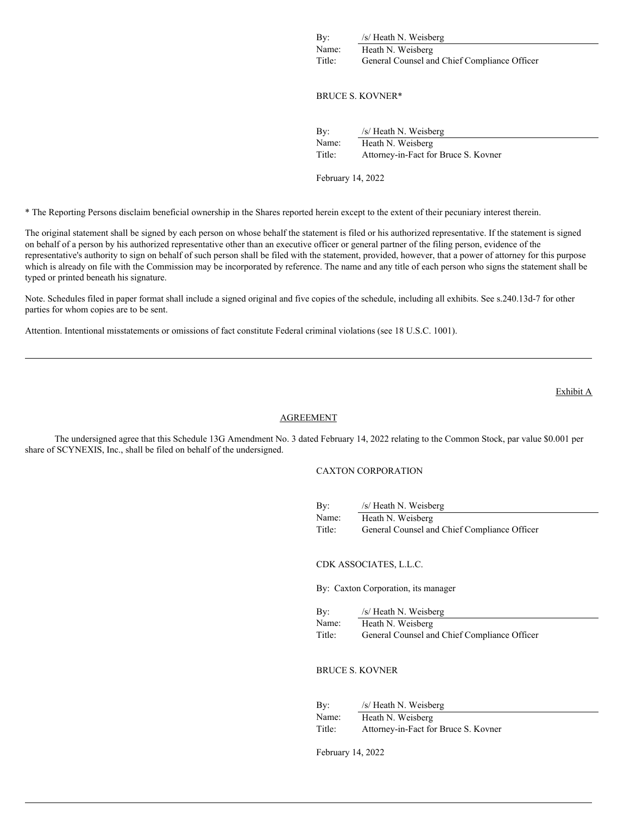By: /s/ Heath N. Weisberg Name: Heath N. Weisberg Title: General Counsel and Chief Compliance Officer

## BRUCE S. KOVNER\*

| By:    | /s/ Heath N. Weisberg                |  |
|--------|--------------------------------------|--|
| Name:  | Heath N. Weisberg                    |  |
| Title: | Attorney-in-Fact for Bruce S. Kovner |  |

February 14, 2022

\* The Reporting Persons disclaim beneficial ownership in the Shares reported herein except to the extent of their pecuniary interest therein.

The original statement shall be signed by each person on whose behalf the statement is filed or his authorized representative. If the statement is signed on behalf of a person by his authorized representative other than an executive officer or general partner of the filing person, evidence of the representative's authority to sign on behalf of such person shall be filed with the statement, provided, however, that a power of attorney for this purpose which is already on file with the Commission may be incorporated by reference. The name and any title of each person who signs the statement shall be typed or printed beneath his signature.

Note. Schedules filed in paper format shall include a signed original and five copies of the schedule, including all exhibits. See s.240.13d-7 for other parties for whom copies are to be sent.

Attention. Intentional misstatements or omissions of fact constitute Federal criminal violations (see 18 U.S.C. 1001).

## **AGREEMENT**

The undersigned agree that this Schedule 13G Amendment No. 3 dated February 14, 2022 relating to the Common Stock, par value \$0.001 per share of SCYNEXIS, Inc., shall be filed on behalf of the undersigned.

# CAXTON CORPORATION

| By:    | /s/ Heath N. Weisberg                        |
|--------|----------------------------------------------|
| Name:  | Heath N. Weisberg                            |
| Title: | General Counsel and Chief Compliance Officer |

CDK ASSOCIATES, L.L.C.

By: Caxton Corporation, its manager

By: /s/ Heath N. Weisberg Name: Heath N. Weisberg Title: General Counsel and Chief Compliance Officer

BRUCE S. KOVNER

| By:    | /s/ Heath N. Weisberg                |
|--------|--------------------------------------|
| Name:  | Heath N. Weisberg                    |
| Title: | Attorney-in-Fact for Bruce S. Kovner |

February 14, 2022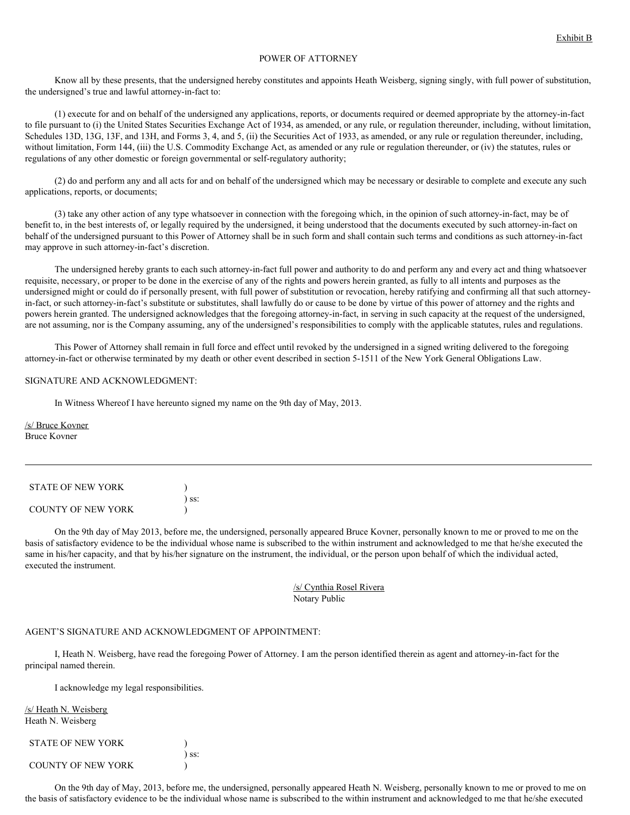# POWER OF ATTORNEY

Know all by these presents, that the undersigned hereby constitutes and appoints Heath Weisberg, signing singly, with full power of substitution, the undersigned's true and lawful attorney-in-fact to:

(1) execute for and on behalf of the undersigned any applications, reports, or documents required or deemed appropriate by the attorney-in-fact to file pursuant to (i) the United States Securities Exchange Act of 1934, as amended, or any rule, or regulation thereunder, including, without limitation, Schedules 13D, 13G, 13F, and 13H, and Forms 3, 4, and 5, (ii) the Securities Act of 1933, as amended, or any rule or regulation thereunder, including, without limitation, Form 144, (iii) the U.S. Commodity Exchange Act, as amended or any rule or regulation thereunder, or (iv) the statutes, rules or regulations of any other domestic or foreign governmental or self-regulatory authority;

(2) do and perform any and all acts for and on behalf of the undersigned which may be necessary or desirable to complete and execute any such applications, reports, or documents;

(3) take any other action of any type whatsoever in connection with the foregoing which, in the opinion of such attorney-in-fact, may be of benefit to, in the best interests of, or legally required by the undersigned, it being understood that the documents executed by such attorney-in-fact on behalf of the undersigned pursuant to this Power of Attorney shall be in such form and shall contain such terms and conditions as such attorney-in-fact may approve in such attorney-in-fact's discretion.

The undersigned hereby grants to each such attorney-in-fact full power and authority to do and perform any and every act and thing whatsoever requisite, necessary, or proper to be done in the exercise of any of the rights and powers herein granted, as fully to all intents and purposes as the undersigned might or could do if personally present, with full power of substitution or revocation, hereby ratifying and confirming all that such attorneyin-fact, or such attorney-in-fact's substitute or substitutes, shall lawfully do or cause to be done by virtue of this power of attorney and the rights and powers herein granted. The undersigned acknowledges that the foregoing attorney-in-fact, in serving in such capacity at the request of the undersigned, are not assuming, nor is the Company assuming, any of the undersigned's responsibilities to comply with the applicable statutes, rules and regulations.

This Power of Attorney shall remain in full force and effect until revoked by the undersigned in a signed writing delivered to the foregoing attorney-in-fact or otherwise terminated by my death or other event described in section 5-1511 of the New York General Obligations Law.

#### SIGNATURE AND ACKNOWLEDGMENT:

In Witness Whereof I have hereunto signed my name on the 9th day of May, 2013.

/s/ Bruce Kovner Bruce Kovner

| <b>STATE OF NEW YORK</b> |            |
|--------------------------|------------|
|                          | $\sum$ ss: |
| COUNTY OF NEW YORK       |            |

On the 9th day of May 2013, before me, the undersigned, personally appeared Bruce Kovner, personally known to me or proved to me on the basis of satisfactory evidence to be the individual whose name is subscribed to the within instrument and acknowledged to me that he/she executed the same in his/her capacity, and that by his/her signature on the instrument, the individual, or the person upon behalf of which the individual acted, executed the instrument.

> /s/ Cynthia Rosel Rivera Notary Public

#### AGENT'S SIGNATURE AND ACKNOWLEDGMENT OF APPOINTMENT:

I, Heath N. Weisberg, have read the foregoing Power of Attorney. I am the person identified therein as agent and attorney-in-fact for the principal named therein.

I acknowledge my legal responsibilities.

/s/ Heath N. Weisberg Heath N. Weisberg

| <b>STATE OF NEW YORK</b> |            |
|--------------------------|------------|
|                          | $\sum$ SS: |
| COUNTY OF NEW YORK       |            |

On the 9th day of May, 2013, before me, the undersigned, personally appeared Heath N. Weisberg, personally known to me or proved to me on the basis of satisfactory evidence to be the individual whose name is subscribed to the within instrument and acknowledged to me that he/she executed